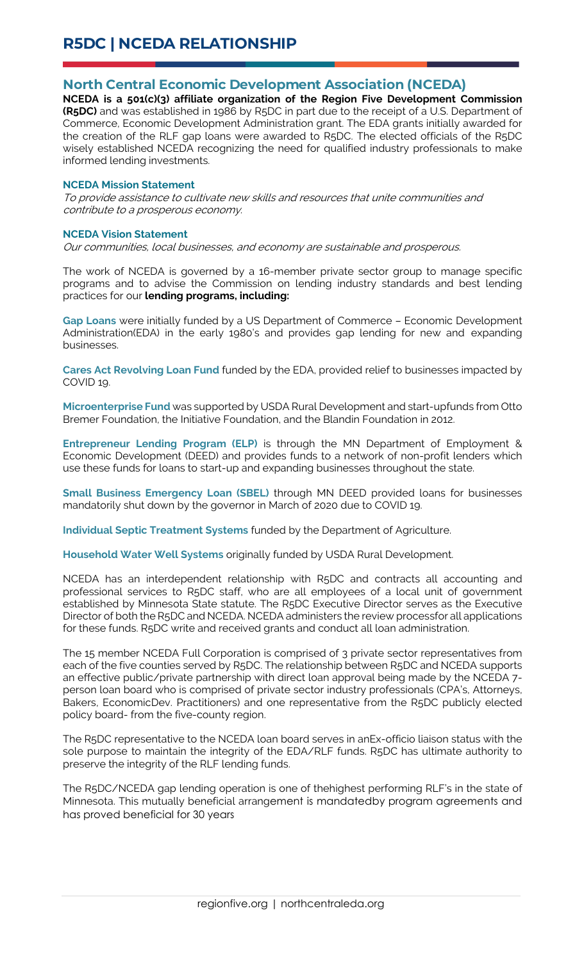## **North Central Economic Development Association (NCEDA)**

**NCEDA is a 501(c)(3) affiliate organization of the Region Five Development Commission (R5DC)** and was established in 1986 by R5DC in part due to the receipt of a U.S. Department of Commerce, Economic Development Administration grant. The EDA grants initially awarded for the creation of the RLF gap loans were awarded to R5DC. The elected officials of the R5DC wisely established NCEDA recognizing the need for qualified industry professionals to make informed lending investments.

## **NCEDA Mission Statement**

To provide assistance to cultivate new skills and resources that unite communities and contribute to a prosperous economy.

## **NCEDA Vision Statement**

Our communities, local businesses, and economy are sustainable and prosperous.

The work of NCEDA is governed by a 16-member private sector group to manage specific programs and to advise the Commission on lending industry standards and best lending practices for our **lending programs, including:**

**Gap Loans** were initially funded by a US Department of Commerce – Economic Development Administration(EDA) in the early 1980's and provides gap lending for new and expanding businesses.

**Cares Act Revolving Loan Fund** funded by the EDA, provided relief to businesses impacted by COVID 19.

**Microenterprise Fund** was supported by USDA Rural Development and start-upfunds from Otto Bremer Foundation, the Initiative Foundation, and the Blandin Foundation in 2012.

**Entrepreneur Lending Program (ELP)** is through the MN Department of Employment & Economic Development (DEED) and provides funds to a network of non-profit lenders which use these funds for loans to start-up and expanding businesses throughout the state.

**Small Business Emergency Loan (SBEL)** through MN DEED provided loans for businesses mandatorily shut down by the governor in March of 2020 due to COVID 19.

**Individual Septic Treatment Systems** funded by the Department of Agriculture.

**Household Water Well Systems** originally funded by USDA Rural Development.

NCEDA has an interdependent relationship with R5DC and contracts all accounting and professional services to R5DC staff, who are all employees of a local unit of government established by Minnesota State statute. The R5DC Executive Director serves as the Executive Director of both the R5DC and NCEDA. NCEDA administers the review processfor all applications for these funds. R5DC write and received grants and conduct all loan administration.

The 15 member NCEDA Full Corporation is comprised of 3 private sector representatives from each of the five counties served by R5DC. The relationship between R5DC and NCEDA supports an effective public/private partnership with direct loan approval being made by the NCEDA 7 person loan board who is comprised of private sector industry professionals (CPA's, Attorneys, Bakers, EconomicDev. Practitioners) and one representative from the R5DC publicly elected policy board- from the five-county region.

The R5DC representative to the NCEDA loan board serves in anEx-officio liaison status with the sole purpose to maintain the integrity of the EDA/RLF funds. R5DC has ultimate authority to preserve the integrity of the RLF lending funds.

The R5DC/NCEDA gap lending operation is one of thehighest performing RLF's in the state of Minnesota. This mutually beneficial arrangement is mandatedby program agreements and has proved beneficial for 30 years